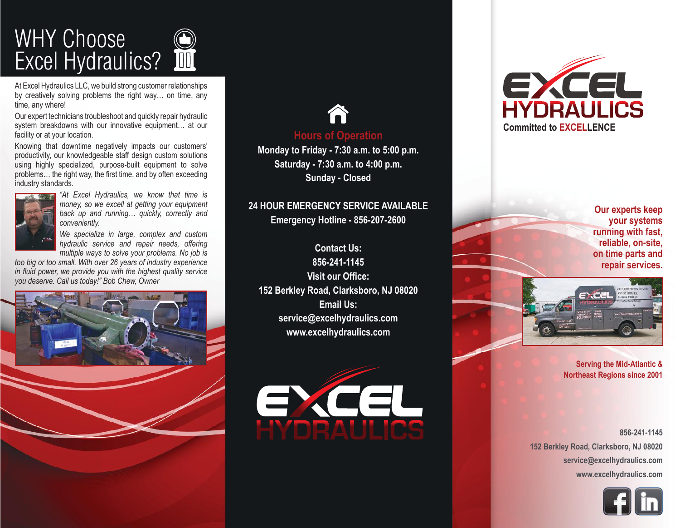

At Excel Hydraulics LLC, we build strong customer relationships by creatively solving problems the right way… on time, any time, any where!

Our expert technicians troubleshoot and quickly repair hydraulic system breakdowns with our innovative equipment… at our facility or at your location.

Knowing that downtime negatively impacts our customers' productivity, our knowledgeable staff design custom solutions using highly specialized, purpose-built equipment to solve problems… the right way, the first time, and by often exceeding industry standards.



*"At Excel Hydraulics, we know that time is money, so we excell at getting your equipment back up and running… quickly, correctly and conveniently.* 

*We specialize in large, complex and custom hydraulic service and repair needs, offering multiple ways to solve your problems. No job is* 

*too big or too small. With over 26 years of industry experience in fluid power, we provide you with the highest quality service you deserve. Call us today!" Bob Chew, Owner*





### **Hours of Operation**

**Monday to Friday - 7:30 a.m. to 5:00 p.m. Saturday - 7:30 a.m. to 4:00 p.m. Sunday - Closed**

#### **24 HOUR EMERGENCY SERVICE AVAILABLE Emergency Hotline - 856-207-2600**

**Contact Us: 856-241-1145 Visit our Office: 152 Berkley Road, Clarksboro, NJ 08020 Email Us: service@excelhydraulics.com www.excelhydraulics.com**





**Our experts keep your systems running with fast, reliable, on-site, on time parts and repair services.**



**Serving the Mid-Atlantic & Northeast Regions since 2001**

**856-241-1145 152 Berkley Road, Clarksboro, NJ 08020 service@excelhydraulics.com www.excelhydraulics.com**